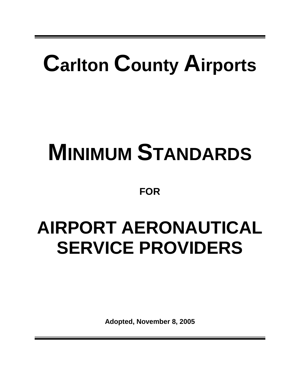# **Carlton County Airports**

# **MINIMUM STANDARDS**

**FOR**

# **AIRPORT AERONAUTICAL SERVICE PROVIDERS**

**Adopted, November 8, 2005**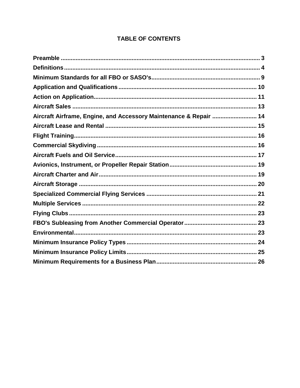| Aircraft Airframe, Engine, and Accessory Maintenance & Repair  14 |  |
|-------------------------------------------------------------------|--|
|                                                                   |  |
|                                                                   |  |
|                                                                   |  |
|                                                                   |  |
|                                                                   |  |
|                                                                   |  |
|                                                                   |  |
|                                                                   |  |
|                                                                   |  |
|                                                                   |  |
|                                                                   |  |
|                                                                   |  |
|                                                                   |  |
|                                                                   |  |
|                                                                   |  |

#### **TABLE OF CONTENTS**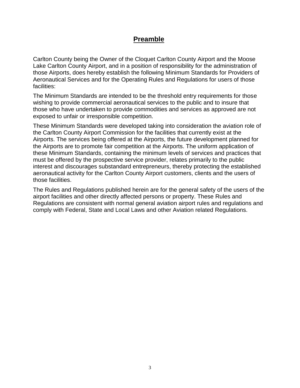#### **Preamble**

Carlton County being the Owner of the Cloquet Carlton County Airport and the Moose Lake Carlton County Airport, and in a position of responsibility for the administration of those Airports, does hereby establish the following Minimum Standards for Providers of Aeronautical Services and for the Operating Rules and Regulations for users of those facilities:

The Minimum Standards are intended to be the threshold entry requirements for those wishing to provide commercial aeronautical services to the public and to insure that those who have undertaken to provide commodities and services as approved are not exposed to unfair or irresponsible competition.

These Minimum Standards were developed taking into consideration the aviation role of the Carlton County Airport Commission for the facilities that currently exist at the Airports. The services being offered at the Airports, the future development planned for the Airports are to promote fair competition at the Airports. The uniform application of these Minimum Standards, containing the minimum levels of services and practices that must be offered by the prospective service provider, relates primarily to the public interest and discourages substandard entrepreneurs, thereby protecting the established aeronautical activity for the Carlton County Airport customers, clients and the users of those facilities.

The Rules and Regulations published herein are for the general safety of the users of the airport facilities and other directly affected persons or property. These Rules and Regulations are consistent with normal general aviation airport rules and regulations and comply with Federal, State and Local Laws and other Aviation related Regulations.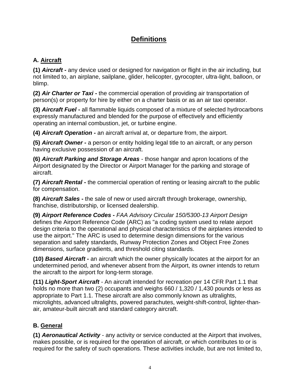# **Definitions**

# **A. Aircraft**

**(1)** *Aircraft* **-** any device used or designed for navigation or flight in the air including, but not limited to, an airplane, sailplane, glider, helicopter, gyrocopter, ultra-light, balloon, or blimp.

**(2)** *Air Charter or Taxi* **-** the commercial operation of providing air transportation of person(s) or property for hire by either on a charter basis or as an air taxi operator.

**(3)** *Aircraft Fuel* **-** all flammable liquids composed of a mixture of selected hydrocarbons expressly manufactured and blended for the purpose of effectively and efficiently operating an internal combustion, jet, or turbine engine.

**(4)** *Aircraft Operation* **-** an aircraft arrival at, or departure from, the airport.

**(5)** *Aircraft Owner* **-** a person or entity holding legal title to an aircraft, or any person having exclusive possession of an aircraft.

**(6)** *Aircraft Parking and Storage Areas* - those hangar and apron locations of the Airport designated by the Director or Airport Manager for the parking and storage of aircraft.

**(7)** *Aircraft Rental* **-** the commercial operation of renting or leasing aircraft to the public for compensation.

**(8)** *Aircraft Sales* **-** the sale of new or used aircraft through brokerage, ownership, franchise, distributorship, or licensed dealership.

**(9)** *Airport Reference Codes* **-** *FAA Advisory Circular 150/5300-13 Airport Design*  defines the Airport Reference Code (ARC) as "a coding system used to relate airport design criteria to the operational and physical characteristics of the airplanes intended to use the airport." The ARC is used to determine design dimensions for the various separation and safety standards, Runway Protection Zones and Object Free Zones dimensions, surface gradients, and threshold citing standards.

**(10)** *Based Aircraft* **-** an aircraft which the owner physically locates at the airport for an undetermined period, and whenever absent from the Airport, its owner intends to return the aircraft to the airport for long-term storage.

**(11)** *Light-Sport Aircraft -* An aircraft intended for recreation per 14 CFR Part 1.1 that holds no more than two (2) occupants and weighs 660 / 1,320 / 1,430 pounds or less as appropriate to Part 1.1. These aircraft are also commonly known as ultralights, microlights, advanced ultralights, powered parachutes, weight-shift-control, lighter-thanair, amateur-built aircraft and standard category aircraft.

### **B. General**

**(1)** *Aeronautical Activity* - any activity or service conducted at the Airport that involves, makes possible, or is required for the operation of aircraft, or which contributes to or is required for the safety of such operations. These activities include, but are not limited to,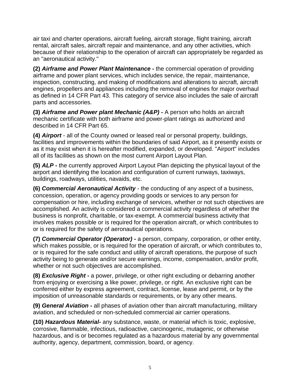air taxi and charter operations, aircraft fueling, aircraft storage, flight training, aircraft rental, aircraft sales, aircraft repair and maintenance, and any other activities, which because of their relationship to the operation of aircraft can appropriately be regarded as an "aeronautical activity."

**(2)** *Airframe and Power Plant Maintenance* **-** the commercial operation of providing airframe and power plant services, which includes service, the repair, maintenance, inspection, constructing, and making of modifications and alterations to aircraft, aircraft engines, propellers and appliances including the removal of engines for major overhaul as defined in 14 CFR Part 43. This category of service also includes the sale of aircraft parts and accessories.

**(3)** *Airframe and Power plant Mechanic (A&P)* **-** A person who holds an aircraft mechanic certificate with both airframe and power-plant ratings as authorized and described in 14 CFR Part 65.

**(4)** *Airport* - all of the County owned or leased real or personal property, buildings, facilities and improvements within the boundaries of said Airport, as it presently exists or as it may exist when it is hereafter modified, expanded, or developed. "Airport" includes all of its facilities as shown on the most current Airport Layout Plan.

**(5)** *ALP* **-** the currently approved Airport Layout Plan depicting the physical layout of the airport and identifying the location and configuration of current runways, taxiways, buildings, roadways, utilities, navaids, etc.

**(6)** *Commercial Aeronautical Activity* - the conducting of any aspect of a business, concession, operation, or agency providing goods or services to any person for compensation or hire, including exchange of services, whether or not such objectives are accomplished. An activity is considered a commercial activity regardless of whether the business is nonprofit, charitable, or tax-exempt. A commercial business activity that involves makes possible or is required for the operation aircraft, or which contributes to or is required for the safety of aeronautical operations.

**(7)** *Commercial Operator (Operator)* **-** a person, company, corporation, or other entity, which makes possible, or is required for the operation of aircraft, or which contributes to, or is required for the safe conduct and utility of aircraft operations, the purpose of such activity being to generate and/or secure earnings, income, compensation, and/or profit, whether or not such objectives are accomplished.

**(8)** *Exclusive Right* **-** a power, privilege, or other right excluding or debarring another from enjoying or exercising a like power, privilege, or right. An exclusive right can be conferred either by express agreement, contract, license, lease and permit, or by the imposition of unreasonable standards or requirements, or by any other means.

**(9)** *General Aviation* **-** all phases of aviation other than aircraft manufacturing, military aviation, and scheduled or non-scheduled commercial air carrier operations.

**(10)** *Hazardous Material-* any substance, waste, or material which is toxic, explosive, corrosive, flammable, infectious, radioactive, carcinogenic, mutagenic, or otherwise hazardous, and is or becomes regulated as a hazardous material by any governmental authority, agency, department, commission, board, or agency.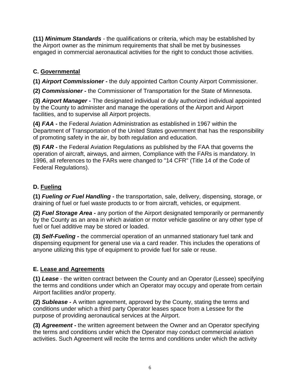**(11)** *Minimum Standards* - the qualifications or criteria, which may be established by the Airport owner as the minimum requirements that shall be met by businesses engaged in commercial aeronautical activities for the right to conduct those activities.

# **C. Governmental**

**(1)** *Airport Commissioner* **-** the duly appointed Carlton County Airport Commissioner.

**(2)** *Commissioner -* the Commissioner of Transportation for the State of Minnesota.

**(3)** *Airport Manager* **-** The designated individual or duly authorized individual appointed by the County to administer and manage the operations of the Airport and Airport facilities, and to supervise all Airport projects.

**(4)** *FAA* **-** the Federal Aviation Administration as established in 1967 within the Department of Transportation of the United States government that has the responsibility of promoting safety in the air, by both regulation and education.

**(5)** *FAR* **-** the Federal Aviation Regulations as published by the FAA that governs the operation of aircraft, airways, and airmen, Compliance with the FARs is mandatory. In 1996, all references to the FARs were changed to "14 CFR" (Title 14 of the Code of Federal Regulations).

# **D. Fueling**

**(1)** *Fueling or Fuel Handling* **-** the transportation, sale, delivery, dispensing, storage, or draining of fuel or fuel waste products to or from aircraft, vehicles, or equipment.

**(2)** *Fuel Storage Area* **-** any portion of the Airport designated temporarily or permanently by the County as an area in which aviation or motor vehicle gasoline or any other type of fuel or fuel additive may be stored or loaded.

**(3)** *Self-Fueling* **-** the commercial operation of an unmanned stationary fuel tank and dispensing equipment for general use via a card reader. This includes the operations of anyone utilizing this type of equipment to provide fuel for sale or reuse.

# **E. Lease and Agreements**

**(1)** *Lease* - the written contract between the County and an Operator (Lessee) specifying the terms and conditions under which an Operator may occupy and operate from certain Airport facilities and/or property.

**(2)** *Sublease* **-** A written agreement, approved by the County, stating the terms and conditions under which a third party Operator leases space from a Lessee for the purpose of providing aeronautical services at the Airport.

**(3)** *Agreement* **-** the written agreement between the Owner and an Operator specifying the terms and conditions under which the Operator may conduct commercial aviation activities. Such Agreement will recite the terms and conditions under which the activity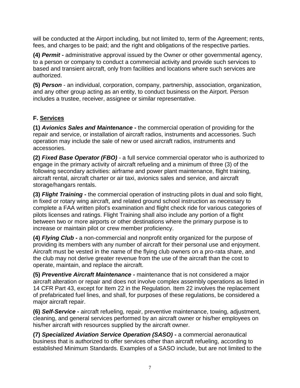will be conducted at the Airport including, but not limited to, term of the Agreement; rents, fees, and charges to be paid; and the right and obligations of the respective parties.

**(4)** *Permit* **-** administrative approval issued by the Owner or other governmental agency, to a person or company to conduct a commercial activity and provide such services to based and transient aircraft, only from facilities and locations where such services are authorized.

**(5)** *Person* - an individual, corporation, company, partnership, association, organization, and any other group acting as an entity, to conduct business on the Airport. Person includes a trustee, receiver, assignee or similar representative.

#### **F. Services**

**(1)** *Avionics Sales and Maintenance* **-** the commercial operation of providing for the repair and service, or installation of aircraft radios, instruments and accessories. Such operation may include the sale of new or used aircraft radios, instruments and accessories.

**(2)** *Fixed Base Operator (FBO)* - a full service commercial operator who is authorized to engage in the primary activity of aircraft refueling and a minimum of three (3) of the following secondary activities: airframe and power plant maintenance, flight training, aircraft rental, aircraft charter or air taxi, avionics sales and service, and aircraft storage/hangars rentals.

**(3)** *Flight Training* **-** the commercial operation of instructing pilots in dual and solo flight, in fixed or rotary wing aircraft, and related ground school instruction as necessary to complete a FAA written pilot's examination and flight check ride for various categories of pilots licenses and ratings. Flight Training shall also include any portion of a flight between two or more airports or other destinations where the primary purpose is to increase or maintain pilot or crew member proficiency.

**(4)** *Flying Club* **-** a non-commercial and nonprofit entity organized for the purpose of providing its members with any number of aircraft for their personal use and enjoyment. Aircraft must be vested in the name of the flying club owners on a pro-rata share, and the club may not derive greater revenue from the use of the aircraft than the cost to operate, maintain, and replace the aircraft.

**(5)** *Preventive Aircraft Maintenance* **-** maintenance that is not considered a major aircraft alteration or repair and does not involve complex assembly operations as listed in 14 CFR Part 43, except for Item 22 in the Regulation. Item 22 involves the replacement of prefabricated fuel lines, and shall, for purposes of these regulations, be considered a major aircraft repair.

**(6)** *Self-Service* **-** aircraft refueling, repair, preventive maintenance, towing, adjustment, cleaning, and general services performed by an aircraft owner or his/her employees on his/her aircraft with resources supplied by the aircraft owner.

**(7)** *Specialized Aviation Service Operation (SASO)* **-** a commercial aeronautical business that is authorized to offer services other than aircraft refueling, according to established Minimum Standards. Examples of a SASO include, but are not limited to the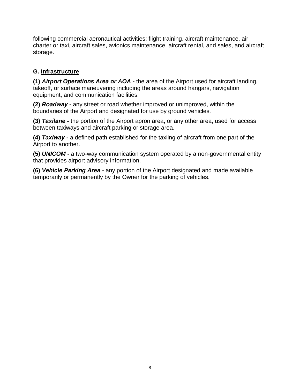following commercial aeronautical activities: flight training, aircraft maintenance, air charter or taxi, aircraft sales, avionics maintenance, aircraft rental, and sales, and aircraft storage.

#### **G. Infrastructure**

**(1)** *Airport Operations Area or AOA* **-** the area of the Airport used for aircraft landing, takeoff, or surface maneuvering including the areas around hangars, navigation equipment, and communication facilities.

**(2)** *Roadway* **-** any street or road whether improved or unimproved, within the boundaries of the Airport and designated for use by ground vehicles.

**(3)** *Taxilane* **-** the portion of the Airport apron area, or any other area, used for access between taxiways and aircraft parking or storage area.

**(4)** *Taxiway* **-** a defined path established for the taxiing of aircraft from one part of the Airport to another.

**(5)** *UNICOM* **-** a two-way communication system operated by a non-governmental entity that provides airport advisory information.

**(6)** *Vehicle Parking Area* - any portion of the Airport designated and made available temporarily or permanently by the Owner for the parking of vehicles.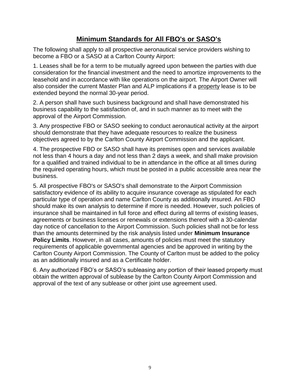# **Minimum Standards for All FBO's or SASO's**

The following shall apply to all prospective aeronautical service providers wishing to become a FBO or a SASO at a Carlton County Airport:

1. Leases shall be for a term to be mutually agreed upon between the parties with due consideration for the financial investment and the need to amortize improvements to the leasehold and in accordance with like operations on the airport. The Airport Owner will also consider the current Master Plan and ALP implications if a property lease is to be extended beyond the normal 30-year period.

2. A person shall have such business background and shall have demonstrated his business capability to the satisfaction of, and in such manner as to meet with the approval of the Airport Commission.

3. Any prospective FBO or SASO seeking to conduct aeronautical activity at the airport should demonstrate that they have adequate resources to realize the business objectives agreed to by the Carlton County Airport Commission and the applicant.

4. The prospective FBO or SASO shall have its premises open and services available not less than 4 hours a day and not less than 2 days a week, and shall make provision for a qualified and trained individual to be in attendance in the office at all times during the required operating hours, which must be posted in a public accessible area near the business.

5. All prospective FBO's or SASO's shall demonstrate to the Airport Commission satisfactory evidence of its ability to acquire insurance coverage as stipulated for each particular type of operation and name Carlton County as additionally insured. An FBO should make its own analysis to determine if more is needed. However, such policies of insurance shall be maintained in full force and effect during all terms of existing leases, agreements or business licenses or renewals or extensions thereof with a 30-calendar day notice of cancellation to the Airport Commission. Such policies shall not be for less than the amounts determined by the risk analysis listed under **Minimum Insurance Policy Limits**. However, in all cases, amounts of policies must meet the statutory requirements of applicable governmental agencies and be approved in writing by the Carlton County Airport Commission. The County of Carlton must be added to the policy as an additionally insured and as a Certificate holder.

6. Any authorized FBO's or SASO's subleasing any portion of their leased property must obtain the written approval of sublease by the Carlton County Airport Commission and approval of the text of any sublease or other joint use agreement used.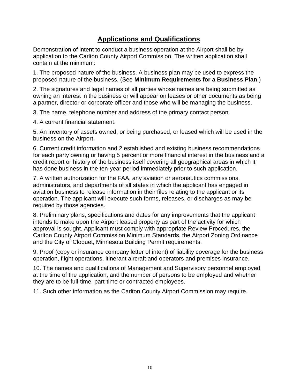# **Applications and Qualifications**

Demonstration of intent to conduct a business operation at the Airport shall be by application to the Carlton County Airport Commission. The written application shall contain at the minimum:

1. The proposed nature of the business. A business plan may be used to express the proposed nature of the business. (See **Minimum Requirements for a Business Plan**.)

2. The signatures and legal names of all parties whose names are being submitted as owning an interest in the business or will appear on leases or other documents as being a partner, director or corporate officer and those who will be managing the business.

3. The name, telephone number and address of the primary contact person.

4. A current financial statement.

5. An inventory of assets owned, or being purchased, or leased which will be used in the business on the Airport.

6. Current credit information and 2 established and existing business recommendations for each party owning or having 5 percent or more financial interest in the business and a credit report or history of the business itself covering all geographical areas in which it has done business in the ten-year period immediately prior to such application.

7. A written authorization for the FAA, any aviation or aeronautics commissions, administrators, and departments of all states in which the applicant has engaged in aviation business to release information in their files relating to the applicant or its operation. The applicant will execute such forms, releases, or discharges as may be required by those agencies.

8. Preliminary plans, specifications and dates for any improvements that the applicant intends to make upon the Airport leased property as part of the activity for which approval is sought. Applicant must comply with appropriate Review Procedures, the Carlton County Airport Commission Minimum Standards, the Airport Zoning Ordinance and the City of Cloquet, Minnesota Building Permit requirements.

9. Proof (copy or insurance company letter of intent) of liability coverage for the business operation, flight operations, itinerant aircraft and operators and premises insurance.

10. The names and qualifications of Management and Supervisory personnel employed at the time of the application, and the number of persons to be employed and whether they are to be full-time, part-time or contracted employees.

11. Such other information as the Carlton County Airport Commission may require.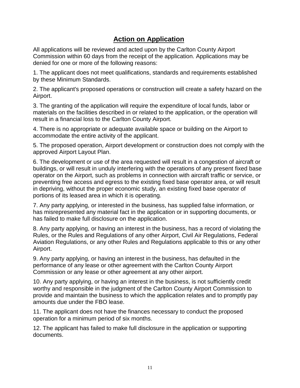# **Action on Application**

All applications will be reviewed and acted upon by the Carlton County Airport Commission within 60 days from the receipt of the application. Applications may be denied for one or more of the following reasons:

1. The applicant does not meet qualifications, standards and requirements established by these Minimum Standards.

2. The applicant's proposed operations or construction will create a safety hazard on the Airport.

3. The granting of the application will require the expenditure of local funds, labor or materials on the facilities described in or related to the application, or the operation will result in a financial loss to the Carlton County Airport.

4. There is no appropriate or adequate available space or building on the Airport to accommodate the entire activity of the applicant.

5. The proposed operation, Airport development or construction does not comply with the approved Airport Layout Plan.

6. The development or use of the area requested will result in a congestion of aircraft or buildings, or will result in unduly interfering with the operations of any present fixed base operator on the Airport, such as problems in connection with aircraft traffic or service, or preventing free access and egress to the existing fixed base operator area, or will result in depriving, without the proper economic study, an existing fixed base operator of portions of its leased area in which it is operating.

7. Any party applying, or interested in the business, has supplied false information, or has misrepresented any material fact in the application or in supporting documents, or has failed to make full disclosure on the application.

8. Any party applying, or having an interest in the business, has a record of violating the Rules, or the Rules and Regulations of any other Airport, Civil Air Regulations, Federal Aviation Regulations, or any other Rules and Regulations applicable to this or any other Airport.

9. Any party applying, or having an interest in the business, has defaulted in the performance of any lease or other agreement with the Carlton County Airport Commission or any lease or other agreement at any other airport.

10. Any party applying, or having an interest in the business, is not sufficiently credit worthy and responsible in the judgment of the Carlton County Airport Commission to provide and maintain the business to which the application relates and to promptly pay amounts due under the FBO lease.

11. The applicant does not have the finances necessary to conduct the proposed operation for a minimum period of six months.

12. The applicant has failed to make full disclosure in the application or supporting documents.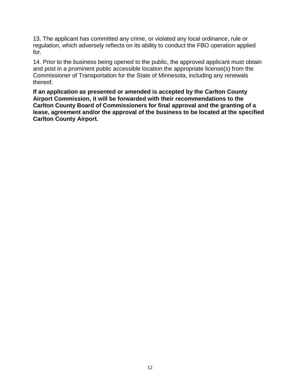13. The applicant has committed any crime, or violated any local ordinance, rule or regulation, which adversely reflects on its ability to conduct the FBO operation applied for.

14. Prior to the business being opened to the public, the approved applicant must obtain and post in a prominent public accessible location the appropriate license(s) from the Commissioner of Transportation for the State of Minnesota, including any renewals thereof.

**If an application as presented or amended is accepted by the Carlton County Airport Commission, it will be forwarded with their recommendations to the Carlton County Board of Commissioners for final approval and the granting of a lease, agreement and/or the approval of the business to be located at the specified Carlton County Airport.**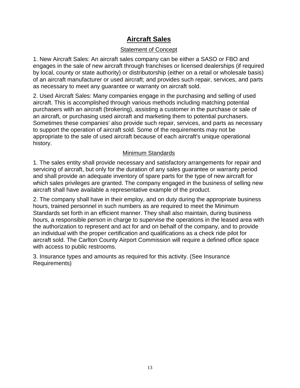# **Aircraft Sales**

#### Statement of Concept

1. New Aircraft Sales: An aircraft sales company can be either a SASO or FBO and engages in the sale of new aircraft through franchises or licensed dealerships (if required by local, county or state authority) or distributorship (either on a retail or wholesale basis) of an aircraft manufacturer or used aircraft; and provides such repair, services, and parts as necessary to meet any guarantee or warranty on aircraft sold.

2. Used Aircraft Sales: Many companies engage in the purchasing and selling of used aircraft. This is accomplished through various methods including matching potential purchasers with an aircraft (brokering), assisting a customer in the purchase or sale of an aircraft, or purchasing used aircraft and marketing them to potential purchasers. Sometimes these companies' also provide such repair, services, and parts as necessary to support the operation of aircraft sold. Some of the requirements may not be appropriate to the sale of used aircraft because of each aircraft's unique operational history.

#### Minimum Standards

1. The sales entity shall provide necessary and satisfactory arrangements for repair and servicing of aircraft, but only for the duration of any sales guarantee or warranty period and shall provide an adequate inventory of spare parts for the type of new aircraft for which sales privileges are granted. The company engaged in the business of selling new aircraft shall have available a representative example of the product.

2. The company shall have in their employ, and on duty during the appropriate business hours, trained personnel in such numbers as are required to meet the Minimum Standards set forth in an efficient manner. They shall also maintain, during business hours, a responsible person in charge to supervise the operations in the leased area with the authorization to represent and act for and on behalf of the company, and to provide an individual with the proper certification and qualifications as a check ride pilot for aircraft sold. The Carlton County Airport Commission will require a defined office space with access to public restrooms.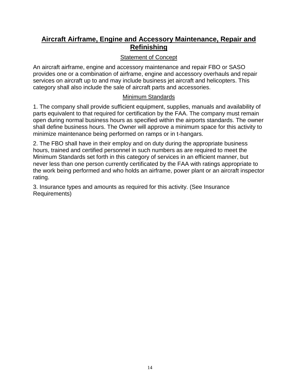### **Aircraft Airframe, Engine and Accessory Maintenance, Repair and Refinishing**

#### Statement of Concept

An aircraft airframe, engine and accessory maintenance and repair FBO or SASO provides one or a combination of airframe, engine and accessory overhauls and repair services on aircraft up to and may include business jet aircraft and helicopters. This category shall also include the sale of aircraft parts and accessories.

#### Minimum Standards

1. The company shall provide sufficient equipment, supplies, manuals and availability of parts equivalent to that required for certification by the FAA. The company must remain open during normal business hours as specified within the airports standards. The owner shall define business hours. The Owner will approve a minimum space for this activity to minimize maintenance being performed on ramps or in t-hangars.

2. The FBO shall have in their employ and on duty during the appropriate business hours, trained and certified personnel in such numbers as are required to meet the Minimum Standards set forth in this category of services in an efficient manner, but never less than one person currently certificated by the FAA with ratings appropriate to the work being performed and who holds an airframe, power plant or an aircraft inspector rating.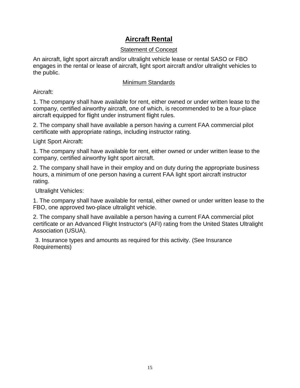# **Aircraft Rental**

#### Statement of Concept

An aircraft, light sport aircraft and/or ultralight vehicle lease or rental SASO or FBO engages in the rental or lease of aircraft, light sport aircraft and/or ultralight vehicles to the public.

#### Minimum Standards

Aircraft:

1. The company shall have available for rent, either owned or under written lease to the company, certified airworthy aircraft, one of which, is recommended to be a four-place aircraft equipped for flight under instrument flight rules.

2. The company shall have available a person having a current FAA commercial pilot certificate with appropriate ratings, including instructor rating.

Light Sport Aircraft:

1. The company shall have available for rent, either owned or under written lease to the company, certified airworthy light sport aircraft.

2. The company shall have in their employ and on duty during the appropriate business hours, a minimum of one person having a current FAA light sport aircraft instructor rating.

Ultralight Vehicles:

1. The company shall have available for rental, either owned or under written lease to the FBO, one approved two-place ultralight vehicle.

2. The company shall have available a person having a current FAA commercial pilot certificate or an Advanced Flight Instructor's (AFI) rating from the United States Ultralight Association (USUA).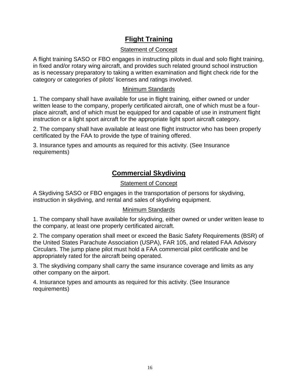# **Flight Training**

#### Statement of Concept

A flight training SASO or FBO engages in instructing pilots in dual and solo flight training, in fixed and/or rotary wing aircraft, and provides such related ground school instruction as is necessary preparatory to taking a written examination and flight check ride for the category or categories of pilots' licenses and ratings involved.

#### Minimum Standards

1. The company shall have available for use in flight training, either owned or under written lease to the company, properly certificated aircraft, one of which must be a fourplace aircraft, and of which must be equipped for and capable of use in instrument flight instruction or a light sport aircraft for the appropriate light sport aircraft category.

2. The company shall have available at least one flight instructor who has been properly certificated by the FAA to provide the type of training offered.

3. Insurance types and amounts as required for this activity. (See Insurance requirements)

# **Commercial Skydiving**

#### Statement of Concept

A Skydiving SASO or FBO engages in the transportation of persons for skydiving, instruction in skydiving, and rental and sales of skydiving equipment.

#### Minimum Standards

1. The company shall have available for skydiving, either owned or under written lease to the company, at least one properly certificated aircraft.

2. The company operation shall meet or exceed the Basic Safety Requirements (BSR) of the United States Parachute Association (USPA), FAR 105, and related FAA Advisory Circulars. The jump plane pilot must hold a FAA commercial pilot certificate and be appropriately rated for the aircraft being operated.

3. The skydiving company shall carry the same insurance coverage and limits as any other company on the airport.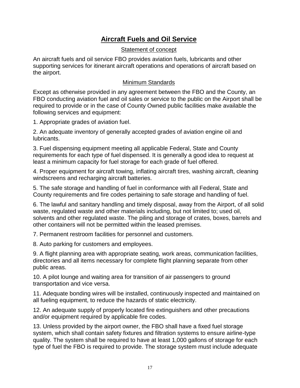# **Aircraft Fuels and Oil Service**

#### Statement of concept

An aircraft fuels and oil service FBO provides aviation fuels, lubricants and other supporting services for itinerant aircraft operations and operations of aircraft based on the airport.

#### Minimum Standards

Except as otherwise provided in any agreement between the FBO and the County, an FBO conducting aviation fuel and oil sales or service to the public on the Airport shall be required to provide or in the case of County Owned public facilities make available the following services and equipment:

1. Appropriate grades of aviation fuel.

2. An adequate inventory of generally accepted grades of aviation engine oil and lubricants.

3. Fuel dispensing equipment meeting all applicable Federal, State and County requirements for each type of fuel dispensed. It is generally a good idea to request at least a minimum capacity for fuel storage for each grade of fuel offered.

4. Proper equipment for aircraft towing, inflating aircraft tires, washing aircraft, cleaning windscreens and recharging aircraft batteries.

5. The safe storage and handling of fuel in conformance with all Federal, State and County requirements and fire codes pertaining to safe storage and handling of fuel.

6. The lawful and sanitary handling and timely disposal, away from the Airport, of all solid waste, regulated waste and other materials including, but not limited to; used oil, solvents and other regulated waste. The piling and storage of crates, boxes, barrels and other containers will not be permitted within the leased premises.

7. Permanent restroom facilities for personnel and customers.

8. Auto parking for customers and employees.

9. A flight planning area with appropriate seating, work areas, communication facilities, directories and all items necessary for complete flight planning separate from other public areas.

10. A pilot lounge and waiting area for transition of air passengers to ground transportation and vice versa.

11. Adequate bonding wires will be installed, continuously inspected and maintained on all fueling equipment, to reduce the hazards of static electricity.

12. An adequate supply of properly located fire extinguishers and other precautions and/or equipment required by applicable fire codes.

13. Unless provided by the airport owner, the FBO shall have a fixed fuel storage system, which shall contain safety fixtures and filtration systems to ensure airline-type quality. The system shall be required to have at least 1,000 gallons of storage for each type of fuel the FBO is required to provide. The storage system must include adequate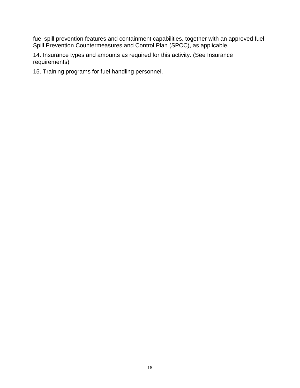fuel spill prevention features and containment capabilities, together with an approved fuel Spill Prevention Countermeasures and Control Plan (SPCC), as applicable.

14. Insurance types and amounts as required for this activity. (See Insurance requirements)

15. Training programs for fuel handling personnel.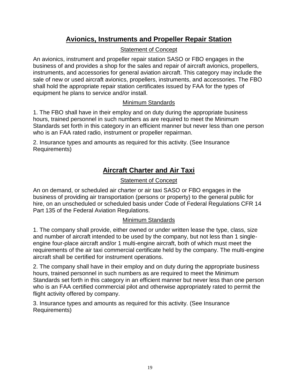# **Avionics, Instruments and Propeller Repair Station**

#### Statement of Concept

An avionics, instrument and propeller repair station SASO or FBO engages in the business of and provides a shop for the sales and repair of aircraft avionics, propellers, instruments, and accessories for general aviation aircraft. This category may include the sale of new or used aircraft avionics, propellers, instruments, and accessories. The FBO shall hold the appropriate repair station certificates issued by FAA for the types of equipment he plans to service and/or install.

#### Minimum Standards

1. The FBO shall have in their employ and on duty during the appropriate business hours, trained personnel in such numbers as are required to meet the Minimum Standards set forth in this category in an efficient manner but never less than one person who is an FAA rated radio, instrument or propeller repairman.

2. Insurance types and amounts as required for this activity. (See Insurance Requirements)

# **Aircraft Charter and Air Taxi**

#### Statement of Concept

An on demand, or scheduled air charter or air taxi SASO or FBO engages in the business of providing air transportation (persons or property) to the general public for hire, on an unscheduled or scheduled basis under Code of Federal Regulations CFR 14 Part 135 of the Federal Aviation Regulations.

#### Minimum Standards

1. The company shall provide, either owned or under written lease the type, class, size and number of aircraft intended to be used by the company, but not less than 1 singleengine four-place aircraft and/or 1 multi-engine aircraft, both of which must meet the requirements of the air taxi commercial certificate held by the company. The multi-engine aircraft shall be certified for instrument operations.

2. The company shall have in their employ and on duty during the appropriate business hours, trained personnel in such numbers as are required to meet the Minimum Standards set forth in this category in an efficient manner but never less than one person who is an FAA certified commercial pilot and otherwise appropriately rated to permit the flight activity offered by company.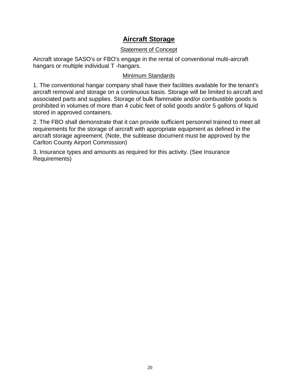# **Aircraft Storage**

#### Statement of Concept

Aircraft storage SASO's or FBO's engage in the rental of conventional multi-aircraft hangars or multiple individual T -hangars.

#### Minimum Standards

1. The conventional hangar company shall have their facilities available for the tenant's aircraft removal and storage on a continuous basis. Storage will be limited to aircraft and associated parts and supplies. Storage of bulk flammable and/or combustible goods is prohibited in volumes of more than 4 cubic feet of solid goods and/or 5 gallons of liquid stored in approved containers.

2. The FBO shall demonstrate that it can provide sufficient personnel trained to meet all requirements for the storage of aircraft with appropriate equipment as defined in the aircraft storage agreement. (Note, the sublease document must be approved by the Carlton County Airport Commission)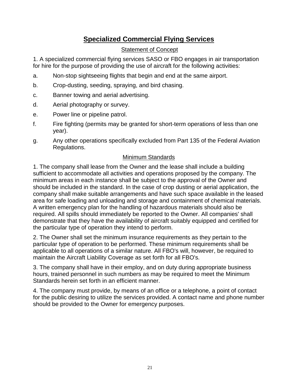# **Specialized Commercial Flying Services**

#### Statement of Concept

1. A specialized commercial flying services SASO or FBO engages in air transportation for hire for the purpose of providing the use of aircraft for the following activities:

- a. Non-stop sightseeing flights that begin and end at the same airport.
- b. Crop-dusting, seeding, spraying, and bird chasing.
- c. Banner towing and aerial advertising.
- d. Aerial photography or survey.
- e. Power line or pipeline patrol.
- f. Fire fighting (permits may be granted for short-term operations of less than one year).
- g. Any other operations specifically excluded from Part 135 of the Federal Aviation Regulations.

#### Minimum Standards

1. The company shall lease from the Owner and the lease shall include a building sufficient to accommodate all activities and operations proposed by the company. The minimum areas in each instance shall be subject to the approval of the Owner and should be included in the standard. In the case of crop dusting or aerial application, the company shall make suitable arrangements and have such space available in the leased area for safe loading and unloading and storage and containment of chemical materials. A written emergency plan for the handling of hazardous materials should also be required. All spills should immediately be reported to the Owner. All companies' shall demonstrate that they have the availability of aircraft suitably equipped and certified for the particular type of operation they intend to perform.

2. The Owner shall set the minimum insurance requirements as they pertain to the particular type of operation to be performed. These minimum requirements shall be applicable to all operations of a similar nature. All FBO's will, however, be required to maintain the Aircraft Liability Coverage as set forth for all FBO's.

3. The company shall have in their employ, and on duty during appropriate business hours, trained personnel in such numbers as may be required to meet the Minimum Standards herein set forth in an efficient manner.

4. The company must provide, by means of an office or a telephone, a point of contact for the public desiring to utilize the services provided. A contact name and phone number should be provided to the Owner for emergency purposes.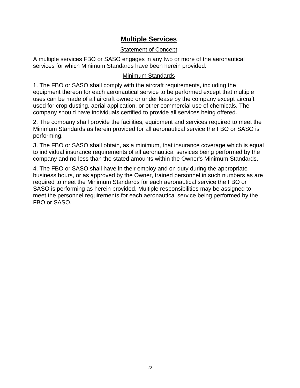# **Multiple Services**

#### Statement of Concept

A multiple services FBO or SASO engages in any two or more of the aeronautical services for which Minimum Standards have been herein provided.

#### Minimum Standards

1. The FBO or SASO shall comply with the aircraft requirements, including the equipment thereon for each aeronautical service to be performed except that multiple uses can be made of all aircraft owned or under lease by the company except aircraft used for crop dusting, aerial application, or other commercial use of chemicals. The company should have individuals certified to provide all services being offered.

2. The company shall provide the facilities, equipment and services required to meet the Minimum Standards as herein provided for all aeronautical service the FBO or SASO is performing.

3. The FBO or SASO shall obtain, as a minimum, that insurance coverage which is equal to individual insurance requirements of all aeronautical services being performed by the company and no less than the stated amounts within the Owner's Minimum Standards.

4. The FBO or SASO shall have in their employ and on duty during the appropriate business hours, or as approved by the Owner, trained personnel in such numbers as are required to meet the Minimum Standards for each aeronautical service the FBO or SASO is performing as herein provided. Multiple responsibilities may be assigned to meet the personnel requirements for each aeronautical service being performed by the FBO or SASO.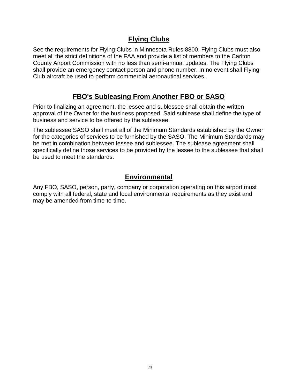# **Flying Clubs**

See the requirements for Flying Clubs in Minnesota Rules 8800. Flying Clubs must also meet all the strict definitions of the FAA and provide a list of members to the Carlton County Airport Commission with no less than semi-annual updates. The Flying Clubs shall provide an emergency contact person and phone number. In no event shall Flying Club aircraft be used to perform commercial aeronautical services.

# **FBO's Subleasing From Another FBO or SASO**

Prior to finalizing an agreement, the lessee and sublessee shall obtain the written approval of the Owner for the business proposed. Said sublease shall define the type of business and service to be offered by the sublessee.

The sublessee SASO shall meet all of the Minimum Standards established by the Owner for the categories of services to be furnished by the SASO. The Minimum Standards may be met in combination between lessee and sublessee. The sublease agreement shall specifically define those services to be provided by the lessee to the sublessee that shall be used to meet the standards.

# **Environmental**

Any FBO, SASO, person, party, company or corporation operating on this airport must comply with all federal, state and local environmental requirements as they exist and may be amended from time-to-time.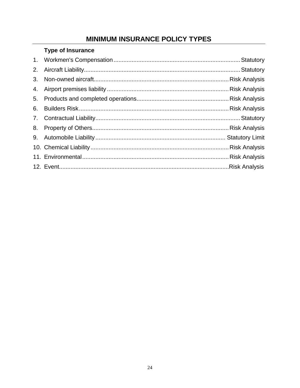# **MINIMUM INSURANCE POLICY TYPES**

# **Type of Insurance**

| 6. |  |
|----|--|
|    |  |
|    |  |
|    |  |
|    |  |
|    |  |
|    |  |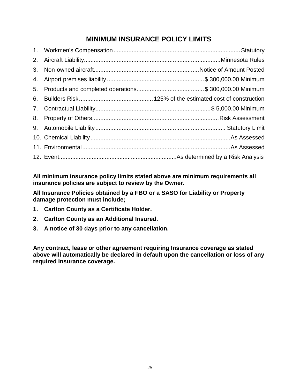# **MINIMUM INSURANCE POLICY LIMITS**

| 4. |  |
|----|--|
| 5. |  |
| 6. |  |
|    |  |
|    |  |
|    |  |
|    |  |
|    |  |
|    |  |

**All minimum insurance policy limits stated above are minimum requirements all insurance policies are subject to review by the Owner.**

**All Insurance Policies obtained by a FBO or a SASO for Liability or Property damage protection must include;**

- **1. Carlton County as a Certificate Holder.**
- **2. Carlton County as an Additional Insured.**
- **3. A notice of 30 days prior to any cancellation.**

**Any contract, lease or other agreement requiring Insurance coverage as stated above will automatically be declared in default upon the cancellation or loss of any required Insurance coverage.**